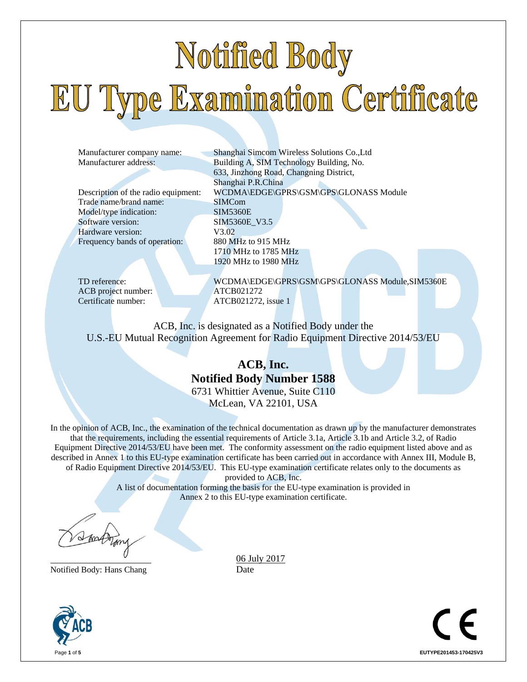# Notified Body EU Type Examination Certificate

Trade name/brand name: SIMCom Model/type indication: SIM5360E Software version: SIM5360E\_V3.5 Hardware version: V3.02 Frequency bands of operation: 880 MHz to 915 MHz

ACB project number: ATCB021272 Certificate number: ATCB021272, issue 1

Manufacturer company name: Shanghai Simcom Wireless Solutions Co.,Ltd Manufacturer address: Building A, SIM Technology Building, No. 633, Jinzhong Road, Changning District, Shanghai P.R.China Description of the radio equipment: WCDMA\EDGE\GPRS\GSM\GPS\GLONASS Module 1710 MHz to 1785 MHz 1920 MHz to 1980 MHz

TD reference: WCDMA\EDGE\GPRS\GSM\GPS\GLONASS Module,SIM5360E

ACB, Inc. is designated as a Notified Body under the U.S.-EU Mutual Recognition Agreement for Radio Equipment Directive 2014/53/EU

## **ACB, Inc. Notified Body Number 1588** 6731 Whittier Avenue, Suite C110

McLean, VA 22101, USA

In the opinion of ACB, Inc., the examination of the technical documentation as drawn up by the manufacturer demonstrates that the requirements, including the essential requirements of Article 3.1a, Article 3.1b and Article 3.2, of Radio Equipment Directive 2014/53/EU have been met. The conformity assessment on the radio equipment listed above and as described in Annex 1 to this EU-type examination certificate has been carried out in accordance with Annex III, Module B, of Radio Equipment Directive 2014/53/EU. This EU-type examination certificate relates only to the documents as

provided to ACB, Inc.

A list of documentation forming the basis for the EU-type examination is provided in Annex 2 to this EU-type examination certificate.

Notified Body: Hans Chang Date

06 July 2017



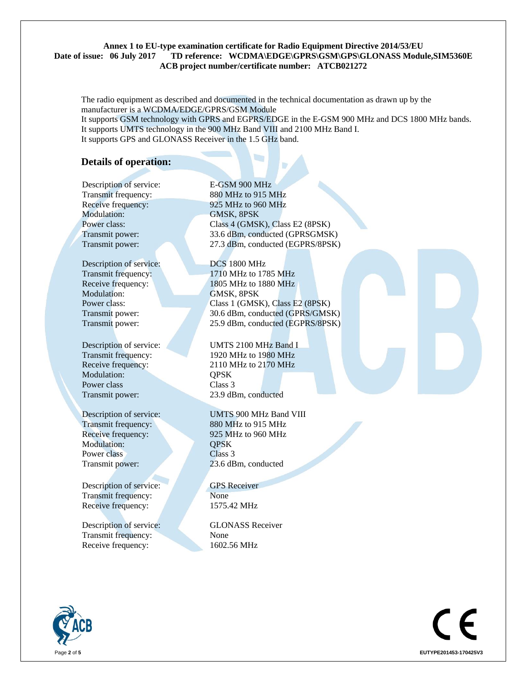#### **Annex 1 to EU-type examination certificate for Radio Equipment Directive 2014/53/EU Date of issue: 06 July 2017 TD reference: WCDMA\EDGE\GPRS\GSM\GPS\GLONASS Module,SIM5360E ACB project number/certificate number: ATCB021272**

The radio equipment as described and documented in the technical documentation as drawn up by the manufacturer is a WCDMA/EDGE/GPRS/GSM Module It supports GSM technology with GPRS and EGPRS/EDGE in the E-GSM 900 MHz and DCS 1800 MHz bands. It supports UMTS technology in the 900 MHz Band VIII and 2100 MHz Band I. It supports GPS and GLONASS Receiver in the 1.5 GHz band.

### **Details of operation:**

Description of service: E-GSM 900 MHz Modulation: GMSK, 8PSK

Description of service: DCS 1800 MHz Modulation: **GMSK, 8PSK** 

Modulation: **QPSK** Power class Class 3

Modulation: **QPSK** Power class Class 3 Transmit power: 23.6 dBm, conducted

Description of service: GPS Receiver Transmit frequency: None Receive frequency: 1575.42 MHz

Description of service: GLONASS Receiver Transmit frequency: None Receive frequency: 1602.56 MHz

Transmit frequency: 880 MHz to 915 MHz Receive frequency: 925 MHz to 960 MHz Power class: Class 4 (GMSK), Class E2 (8PSK) Transmit power: 33.6 dBm, conducted (GPRSGMSK) Transmit power: 27.3 dBm, conducted (EGPRS/8PSK)

Transmit frequency: 1710 MHz to 1785 MHz Receive frequency: 1805 MHz to 1880 MHz Power class: Class 1 (GMSK), Class E2 (8PSK) Transmit power: 30.6 dBm, conducted (GPRS/GMSK) Transmit power: 25.9 dBm, conducted (EGPRS/8PSK)

Description of service: UMTS 2100 MHz Band I Transmit frequency: 1920 MHz to 1980 MHz Receive frequency: 2110 MHz to 2170 MHz Transmit power: 23.9 dBm, conducted

Description of service: UMTS 900 MHz Band VIII Transmit frequency: 880 MHz to 915 MHz Receive frequency: 925 MHz to 960 MHz



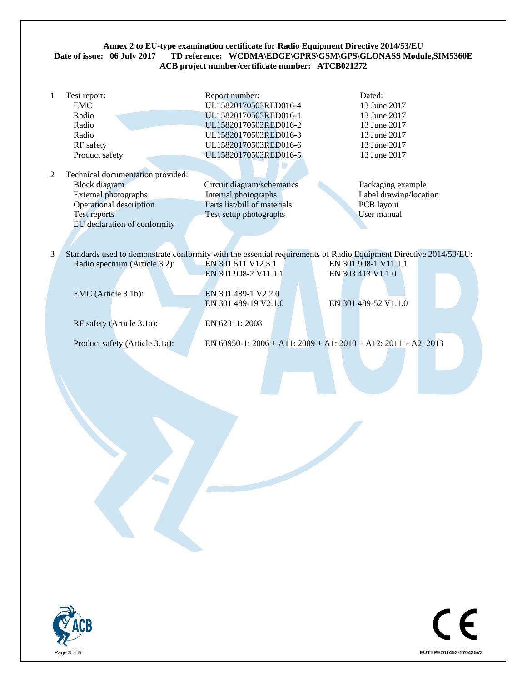#### Annex 2 to EU-type examination certificate for Radio Equipment Directive 2014/53/EU<br>Date of issue: 06 July 2017 TD reference: WCDMA\EDGE\GPRS\GSM\GPS\GLONASS Modu TD reference: WCDMA\EDGE\GPRS\GSM\GPS\GLONASS Module,SIM5360E **ACB project number/certificate number: ATCB021272**

| 1 | Test report:                                                                                                      | Report number:               | Dated:                 |
|---|-------------------------------------------------------------------------------------------------------------------|------------------------------|------------------------|
|   | <b>EMC</b>                                                                                                        | UL15820170503RED016-4        | 13 June 2017           |
|   | Radio                                                                                                             | UL15820170503RED016-1        | 13 June 2017           |
|   | Radio                                                                                                             | UL15820170503RED016-2        | 13 June 2017           |
|   | Radio                                                                                                             | UL15820170503RED016-3        | 13 June 2017           |
|   | RF safety                                                                                                         | UL15820170503RED016-6        | 13 June 2017           |
|   | Product safety                                                                                                    | UL15820170503RED016-5        | 13 June 2017           |
|   |                                                                                                                   |                              |                        |
| 2 | Technical documentation provided:                                                                                 |                              |                        |
|   | <b>Block</b> diagram                                                                                              | Circuit diagram/schematics   | Packaging example      |
|   | External photographs                                                                                              | Internal photographs         | Label drawing/location |
|   | Operational description                                                                                           | Parts list/bill of materials | PCB layout             |
|   | <b>Test reports</b>                                                                                               | Test setup photographs       | User manual            |
|   | EU declaration of conformity                                                                                      |                              |                        |
|   |                                                                                                                   |                              |                        |
| 3 | Standards used to demonstrate conformity with the essential requirements of Radio Equipment Directive 2014/53/EU: |                              |                        |
|   | Radio spectrum (Article 3.2):                                                                                     | EN 301 511 V12.5.1           | EN 301 908-1 V11.1.1   |
|   |                                                                                                                   | EN 301 908-2 V11.1.1         | EN 303 413 V1.1.0      |
|   |                                                                                                                   |                              |                        |
|   | EMC (Article 3.1b):                                                                                               | EN 301 489-1 V2.2.0          |                        |
|   |                                                                                                                   | EN 301 489-19 V2.1.0         | EN 301 489-52 V1.1.0   |
|   |                                                                                                                   |                              |                        |
|   | RF safety (Article 3.1a):                                                                                         | EN 62311: 2008               |                        |
|   |                                                                                                                   |                              |                        |

Product safety (Article 3.1a): EN 60950-1: 2006 + A11: 2009 + A1: 2010 + A12: 2011 + A2: 2013



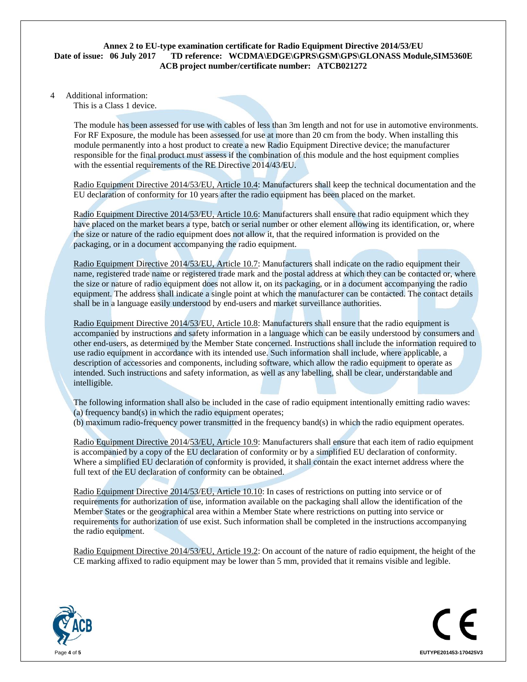#### **Annex 2 to EU-type examination certificate for Radio Equipment Directive 2014/53/EU Date of issue: 06 July 2017 TD reference: WCDMA\EDGE\GPRS\GSM\GPS\GLONASS Module,SIM5360E ACB project number/certificate number: ATCB021272**

4 Additional information:

This is a Class 1 device.

 The module has been assessed for use with cables of less than 3m length and not for use in automotive environments. For RF Exposure, the module has been assessed for use at more than 20 cm from the body. When installing this module permanently into a host product to create a new Radio Equipment Directive device; the manufacturer responsible for the final product must assess if the combination of this module and the host equipment complies with the essential requirements of the RE Directive 2014/43/EU.

Radio Equipment Directive 2014/53/EU, Article 10.4: Manufacturers shall keep the technical documentation and the EU declaration of conformity for 10 years after the radio equipment has been placed on the market.

Radio Equipment Directive 2014/53/EU, Article 10.6: Manufacturers shall ensure that radio equipment which they have placed on the market bears a type, batch or serial number or other element allowing its identification, or, where the size or nature of the radio equipment does not allow it, that the required information is provided on the packaging, or in a document accompanying the radio equipment.

Radio Equipment Directive 2014/53/EU, Article 10.7: Manufacturers shall indicate on the radio equipment their name, registered trade name or registered trade mark and the postal address at which they can be contacted or, where the size or nature of radio equipment does not allow it, on its packaging, or in a document accompanying the radio equipment. The address shall indicate a single point at which the manufacturer can be contacted. The contact details shall be in a language easily understood by end-users and market surveillance authorities.

Radio Equipment Directive 2014/53/EU, Article 10.8: Manufacturers shall ensure that the radio equipment is accompanied by instructions and safety information in a language which can be easily understood by consumers and other end-users, as determined by the Member State concerned. Instructions shall include the information required to use radio equipment in accordance with its intended use. Such information shall include, where applicable, a description of accessories and components, including software, which allow the radio equipment to operate as intended. Such instructions and safety information, as well as any labelling, shall be clear, understandable and intelligible.

The following information shall also be included in the case of radio equipment intentionally emitting radio waves: (a) frequency band(s) in which the radio equipment operates; (b) maximum radio-frequency power transmitted in the frequency band(s) in which the radio equipment operates.

Radio Equipment Directive 2014/53/EU, Article 10.9: Manufacturers shall ensure that each item of radio equipment is accompanied by a copy of the EU declaration of conformity or by a simplified EU declaration of conformity.

Where a simplified EU declaration of conformity is provided, it shall contain the exact internet address where the full text of the EU declaration of conformity can be obtained.

Radio Equipment Directive 2014/53/EU, Article 10.10: In cases of restrictions on putting into service or of requirements for authorization of use, information available on the packaging shall allow the identification of the Member States or the geographical area within a Member State where restrictions on putting into service or requirements for authorization of use exist. Such information shall be completed in the instructions accompanying the radio equipment.

Radio Equipment Directive 2014/53/EU, Article 19.2: On account of the nature of radio equipment, the height of the CE marking affixed to radio equipment may be lower than 5 mm, provided that it remains visible and legible.